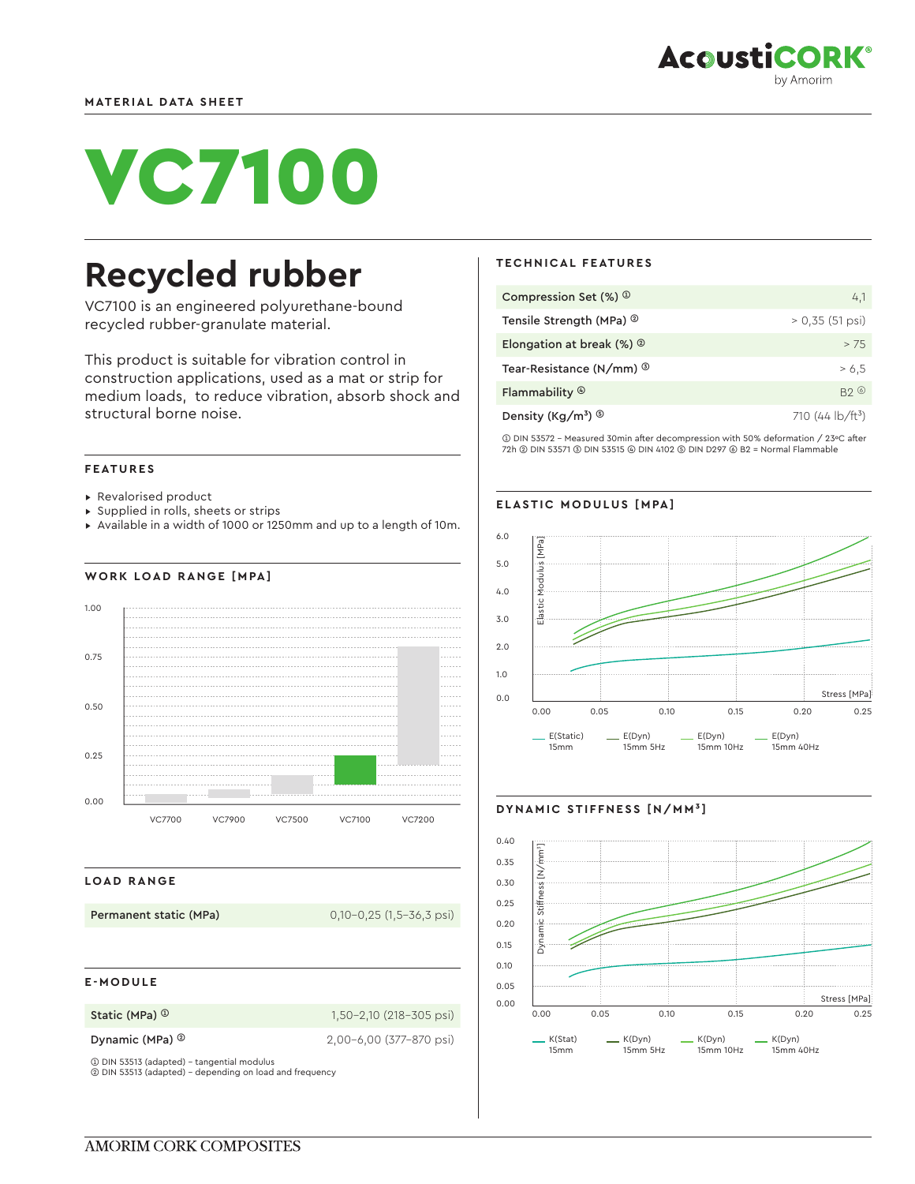

# VC7100

## **Recycled rubber**

VC7100 is an engineered polyurethane-bound recycled rubber-granulate material.

This product is suitable for vibration control in construction applications, used as a mat or strip for medium loads, to reduce vibration, absorb shock and structural borne noise.

#### **FEATURES**

- ▸ Revalorised product
- ▸ Supplied in rolls, sheets or strips
- ▸ Available in a width of 1000 or 1250mm and up to a length of 10m.





#### **LOAD RANGE**

**Permanent static (MPa)** 0,10-0,25 (1,5-36,3 psi)

#### **E-MODULE**

**Static (MPa) <sup>①</sup> 1,50-2,10 (218-305 psi)** 

**Dynamic (MPa) ©** 2,00-6,00 (377-870 psi)

➀ DIN 53513 (adapted) - tangential modulus ➁ DIN 53513 (adapted) - depending on load and frequency

#### **TECHNICAL FEATURES**

| Compression Set $(\%)$ <sup>①</sup>         | 4,1                                       |
|---------------------------------------------|-------------------------------------------|
| Tensile Strength (MPa) <sup>2</sup>         | $> 0.35(51 \,\text{psi})$                 |
| Elongation at break $(\%)$ $\circ$          | > 7.5                                     |
| Tear-Resistance (N/mm) <sup>3</sup>         | > 6.5                                     |
| Flammability ®                              | B20                                       |
| Density (Kg/m <sup>3</sup> ) $\circledcirc$ | 710 (44 $\frac{1}{2}$ b/ft <sup>3</sup> ) |

➀ DIN 53572 - Measured 30min after decompression with 50% deformation / 23ºC after 72h ➁ DIN 53571 ➂ DIN 53515 ➃ DIN 4102 ➄ DIN D297 ➅ B2 = Normal Flammable

#### **ELASTIC MODULUS [MPA]**